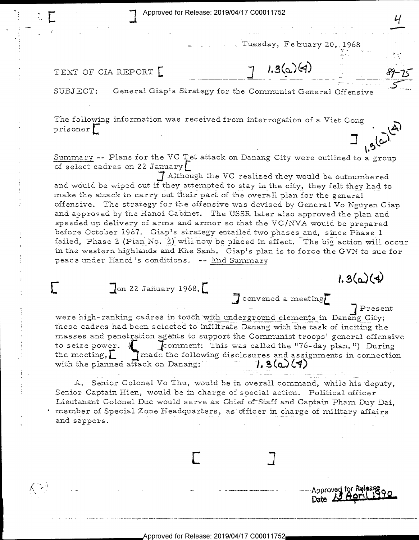Approved for Release: 2019/04/17 C00011752

Tuesday, February 20, 1968

 $1.3(a)(4)$ 

TEXT OF CIA REPORT

 $\mathcal{R}^{>4}$ 

General Giap's Strategy for the Communist General Offensive SUBJECT:

The following information was received from interrogation of a Viet Cong prisoner!

Summary -- Plans for the VC Tet attack on Danang City were outlined to a group of select cadres on 22 January

7 Although the VC realized they would be outnumbered and would be wiped out if they attempted to stay in the city, they felt they had to make the attack to carry out their part of the overall plan for the general offensive. The strategy for the offensive was devised by General Vo Nguyen Giap and approved by the Hanoi Cabinet. The USSR later also approved the plan and speeded up delivery of arms and armor so that the VC/NVA would be prepared before October 1967. Giap's strategy entailed two phases and, since Phase 1 failed, Phase 2 (Pian No. 2) will now be placed in effect. The big action will occur in the western highlands and Khe Sanh. Giap's plan is to force the GVN to sue for peace under Hanoi's conditions. -- End Summary

 $\int$ on 22 January 1968, $\int$ 

**Present** were high-ranking cadres in touch with underground elements in Danang City; these cadres had been selected to infiltrate Danang with the task of inciting the

Convened a meeting

 $1.3(a)(4)$ 

Approved for Release

Date  $\Delta$ 

masses and penetration agents to support the Communist troops' general offensive to seize power.  $\oint$ comment: This was called the "76-day plan.") During I made the following disclosures and assignments in connection the meeting,  $\lfloor$ with the planned attack on Danang:  $1.3(0.17)$ 

A. Senior Colonel Vo Thu, would be in overall command, while his deputy, Senior Captain Hien, would be in charge of special action. Political officer Lieutenant Colonel Duc would serve as Chief of Staff and Captain Pham Duy Dai, member of Special Zone Headquarters, as officer in charge of military affairs and sappers.

Approved for Release: 2019/04/17 C00011752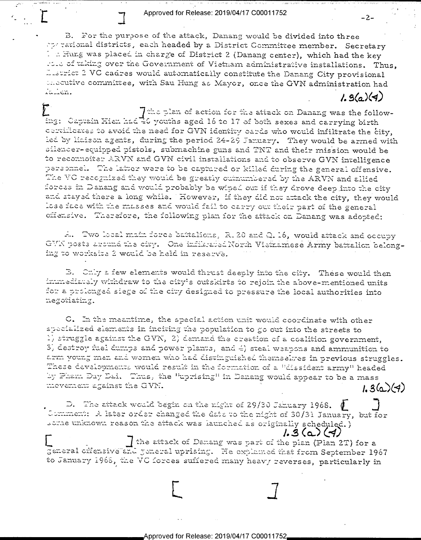Approved for Release: 2019/04/17 C00011752

 $-2-$ 

B. For the purpose of the attack, Danang would be divided into three operational districts, each headed by a District Committee member. Secretary 1 : Hung was placed in charge of District 2 (Danang center), which had the key Fire of taking over the Government of Vietnam administrative installations. Thus, Listrict 2 VC cadres would automatically constitute the Danang City provisional and cutive committee, with Sau Hung as Mayor, once the GVN administration had Tailen.  $1.3(a)(4)$ 

The plan of action for the attack on Danang was the following: Captain Hien had 40 youths aged 16 to 17 of both sexes and carrying birth certificates to avoid the need for GVN identity cards who would infiltrate the city, led by lisison agents, during the period 24-29 January. They would be armed with silencer-equipped pistols, submachine guns and TNT and their mission would be to recommofter ARVN and GVN civil installations and to observe GVN intelligence personnel. The latter were to be captured or killed during the general offensive. The VC recognized they would be greatly outnumbered by the ARVN and allied forces in Danang and would probably be wiped out if they drove deep into the city and stayed there a long while. However, if they did not attack the city, they would lose face with the masses and would fail to carry out their part of the general offensive. Therefore, the following plan for the attack on Danang was adopted:

A. Two local main force battalions, R. 20 and Q. 16, would attack and occupy GVN posts around the city. One infiltrated North Vietnamese Army battalion belonging to worksite 2 would be held in reserve.

B. Chly a few elements would thrust deeply into the city. These would then immediately withdraw to the city's outskirts to rejoin the above-mentioned units for a prolonged siege of the city designed to pressure the local authorities into negotiating.

C. In the meantime, the special action unit would coordinate with other specialized elements in inciting the population to go out into the streets to 1) struggle against the GVN, 2) demand the creation of a coalition government, 3, destroy fuel dumps and power plants, and 4) steal weapons and ammunition to arm young men and women who had distinguished themselves in previous struggles. These developments would result in the formation of a "dissident army" headed by Pham Day Dai. Thus, the "uprising" in Danang would appear to be a mass movement against the GVN.  $1.3(a)(4)$ 

D. The attack would begin on the night of 29/30 Jahuary 1968.  $\phi$ Comment: A later order changed the date to the night of 30/31 January, but for some unknown reason the attack was launched as originally scheduled.)

 $1.3(4)(4)$ I the attack of Damang was part of the pian (Plan 2T) for a Feneral criensive and general uprising. He explained that from September 1967 to January 1968, the VC forces suffered many heavy reverses, particularly in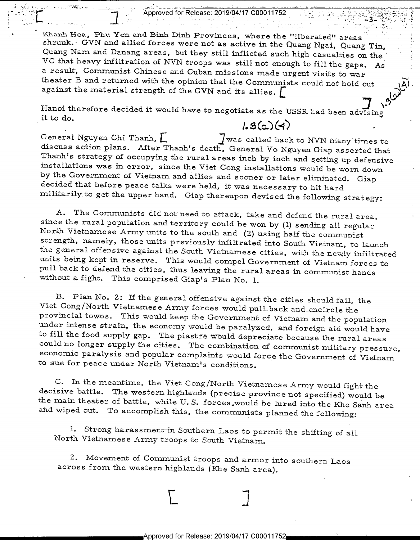Approved for Release: 2019/04/17 C00011752 $\mathcal{U}(\mathcal{U})$  $e^{-(n-1)^2}$ 

 $\mathcal{F}^{\mathcal{F}}$  . The set of  $\mathcal{F}^{\mathcal{F}}$  is the set of  $\mathcal{F}^{\mathcal{F}}$ 

. ع<mark>لي</mark>ت

Khanh Hoa, Phu Yen and Binh Dinh Provinces, where the "liberated" areas shrunk. GVN and allied forces were not as active in the Quang Ngai, Quang Tin, Quang Nam and Danang areas, but they still inflicted such high casualties on the VC that heavy inflitration of NVN troops was still not enough to fill the gaps. As a result, Communist Chinese and Cuban missions made urgent visits to war<br>theater B and returned with the opinion that the Communists could not hold out<br>against the material strength of the GVN and its allies.

 $\mathcal{G}^{\prime}$ 

Hanoi therefore decided it would have to negotiate as the USSR had been advising it to do.

 $1.3(a)(4)$ .<br>J was called back to NVN many times to General Nguyen Chi Thanh,  $\Gamma$  J was called back to NVN many times to discuss action plans. After Thanh's death, General Vo Nguyen Giap asserted that Thanh's strategy of occupying the rural areas inch by inch and setting u

A. The Communists did not need to attack, take and defend the rural area,<br>since the rural population and territory could be won by (1) sending all regular<br>North Vietnamese Army units to the south and (2) using half the com

B. Plan No. 2: If the general offensive against the cities should fail, the<br>Viet Cong/North Vietnamese Army forces would pull back and encircle the<br>provincial towns. This would keep the Government of Vietnam and the popula

C. In the meantime, the Viet Cong/North Vietnamese Army would fight the decisive battle. The western highlands (precise province not specified) would be the main theater of battle, while U.S. forces, would be lured into th

l. Strong harassment-in Southern Laos to permit the shifting of all North Vietnamese Army troops to South Vietnam.

2. Movement of Communist troops and armor into southern Laos across from the western highlands (Khe. Sanh area).

Approved for Release: 2019/04/17 C00011752

 $L \qquad \qquad \Box$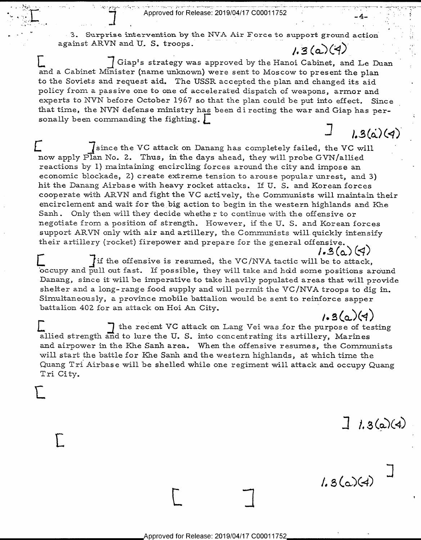Approved for Release: 2019/04/17 C00011752

 $\mathbb{E}$  .

.

 $\frac{1}{2}$ 

 $\vdash$ 

E

"

3. Surprise intervention by the NVA Air Force to support ground action against ARVN and U. S. troops.

 $\frac{13}{2}$  .  $\frac{13}{2}$  .  $\frac{13}{2}$  .  $\frac{13}{2}$  .  $\frac{13}{2}$  .  $\frac{13}{2}$  .  $\frac{13}{2}$  .  $\frac{13}{2}$  .  $\frac{13}{2}$  .  $\frac{13}{2}$  .  $\frac{13}{2}$  .  $\frac{13}{2}$  .  $\frac{13}{2}$  .  $\frac{13}{2}$  .  $\frac{13}{2}$  .  $\frac{13}{2}$  .  $\frac{13}{2}$  . Giap's strategy was approved by the Hanoi Cabinet, and Le Duan and a Cabinet Minister (name unknown) were sent to Moscow to present the plan to the Soviets and request aid. The USSR accepted the plan and changed its aid policy from a passive one to one of accelerated dispatch of weapons, armor and experts to NVN before October 1967 so that the plan could be put into effect. Since that time, the NVN defense ministry has been di recting the war and Giap has personally been commanding the fighting.  $\Box$ <br> $\Box$  1.3( $\dot{a}$ )(4)

since the VC attack on Danang has completely failed, the VC will now apply Plan No. 2. Thus, in the days ahead, they will probe GVN/allied reactions by 1) maintaining encircling forces around the city and impose an economic blockade, 2) create extreme tension to arouse popular unrest, and 3) hit the Danang Airbase with heavy rocket attacks. If U. S. and Korean forces cooperate with ARVN and fight the VC actively, the Communists will maintain their encirclement and wait for the big action to begin in the western highlands and Khe Sanh . Only then will they decide whethe r to continue with the offensive or negotiate from a position of strength. However, if the U. S. and Korean forces support ARVN only with air and artillery, the Comrnunists will quickly intensify their artillery (rocket) firepower and prepare for the general offensive.

 $1.3(\alpha)(4)$ if the offensive is resumed, the VC/NVA tactic will be to attack, occupy and pull out fast. If possible, they will take and hold some positions around Danang, since it will be imperative to take heavily populated areas that will provide shelter and a long- range food supply and will permit the VC/NVA troops to dig in. Simultaneously, a province mobile battalion would be sent to reinforce sapper battalion 402 for an attack on Hoi An City.  $1.3(a)(4)$ 

The recent VC attack on Lang Vei was for the purpose of testing allied strength and to lure the U. S. into concentrating its artillery, Marines and airpower in the Khe Sanh area. When the offensive resumes, the Communists will start the battle for Khe Sanh and the western highlands, at which time the Quang Tri Airbase will be shelled while one regiment will attack and occupy Quang Tri City.

 $1.3(a)(4)$ 

 $5(0.14)$  $\rightarrow$ 

'

 $\begin{array}{ccc} \hline \end{array}$